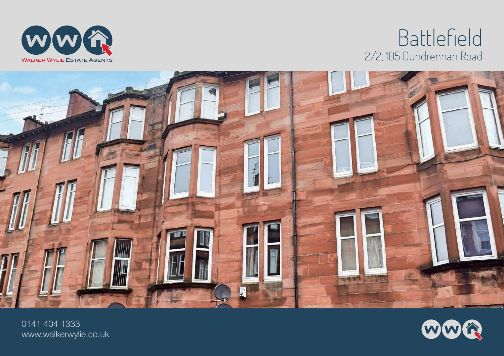

## Battlefield 2/2, 105 Dundrennan Road



0141 404 1333 www.walkerwylie.co.uk

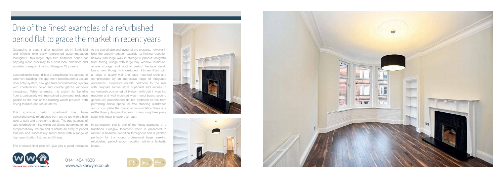







# One of the finest examples of a refurbished period flat to grace the market in recent years

Occupying a sought after position within Battlefield to the overall size and layout of the property, however in and offering extensively refurbished accommodation brief the accommodation extends to: inviting reception throughout, this larger style two bedroom period flat hallway with large walk-in storage cupboard; delightful enjoying close proximity to a host local amenities and front facing lounge with large bay window formation, excellent transport links into Glasgow City centre.

Located on the second floor of a traditional red sandstone a range of quality wall and base mounted units and tenement building, the apartment benefits from a secure complimented by an impressive range of integrated door entry system, new gas fired central heating system appliances; expansive double bedroom to the rear with combination boiler and double glazed windows with bespoke alcove store cupboard and access to throughout. While externally, this stylish flat benefits conveniently positioned utility room with built in washing from a particularly well maintained communal resident's machine and wall mounted wash hand basin; second garden to the rear of the building which provides both generously proportioned double bedroom to the front drying facilities and refuse stores.

comprehensively refurbished from top to toe with a high suite with mixer shower over bath. level of care and attention to detail. The true success of said refurbishment lies within our clients determination to In conclusion, this is one of the finest examples of a sympathetically restore and reinstate an array of period traditional Glasgow tenement which is presented to features and successfully blend them with a range of market in beautiful condition throughout and is pitched high specification fixtures and fittings.

This spacious period apartment has been refitted luxury designer bathroom comprising three piece alcove storage and original period fireplace detail; brand new thoughtfully designed kitchen fitted with permitting ample space for free standing wardrobes and to complete the overall accommodation there is a

The enclosed floor plan will give you a good indication locale.

perfectly for the young professional buyer seeking refurbished period accommodation within a fantastic



0141 404 1333 www.walkerwylie.co.uk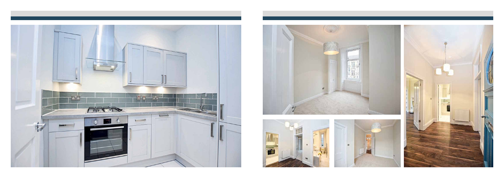





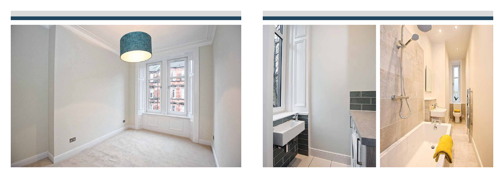